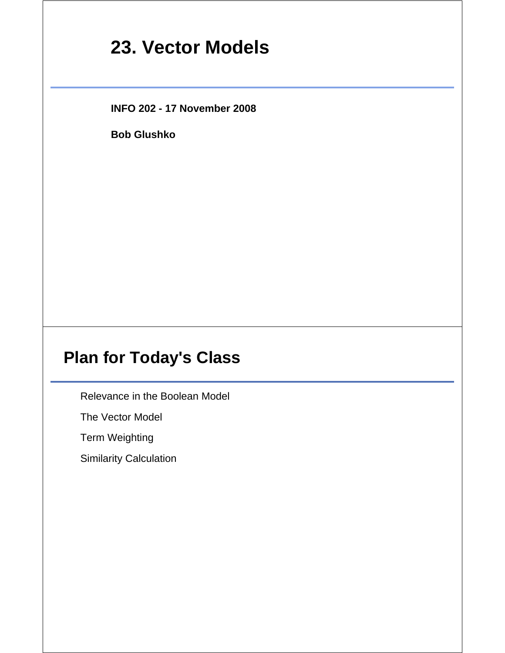# **23. Vector Models**

**INFO 202 - 17 November 2008**

**Bob Glushko**

### **Plan for Today's Class**

Relevance in the Boolean Model

The Vector Model

Term Weighting

Similarity Calculation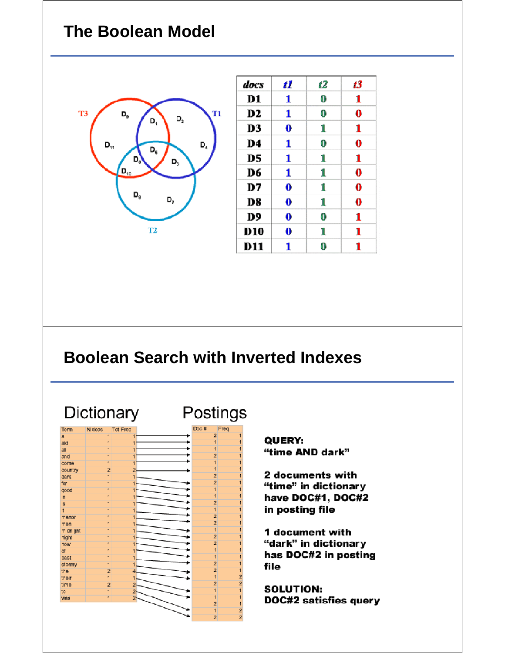#### **The Boolean Model**



| docs           | 11       | 12 | 13       |
|----------------|----------|----|----------|
| D1             | 1        | 0  | 1        |
| D <sub>2</sub> | 1        | 0  | $\bf{0}$ |
| D3             | 0        | 1  | 1        |
| D4             | 1        | 0  | 0        |
| D5             | 1        | 1  | 1        |
| D6             | 1        | 1  | 0        |
| D7             | $\bf{0}$ | 1  | 0        |
| D8             | $\bf{0}$ | 1  | $\bf{0}$ |
| D9             | 0        | 0  | 1        |
| D10            | 0        | 1  | 1        |
| D11            | 1        | 0  | 1        |

### **Boolean Search with Inverted Indexes**

Dictionary Postings Term N docs **Tot Freq** Freq  $\overline{2}$  $\overline{a}$ aid all  $\overline{2}$ and come country  $\overline{2}$ dark  $\overline{2}$ for good in ٠  $\overline{2}$ **is** it ٠  $\overline{2}$ manor  $\overline{2}$ men midnight night ٠  $\overline{2}$ ÷  $\overline{2}$ now ٠ of ÷ past  $\overline{2}$ stormy  $\overline{2}$ the their  $\overline{2}$ time 2 to Wäs 2  $\overline{2}$ 1

QUERY: "time AND dark"

2 documents with "time" in dictionary have DOC#1, DOC#2 in posting file

1 document with "dark" in dictionary has DOC#2 in posting file

**SOLUTION: DOC#2 satisfies query**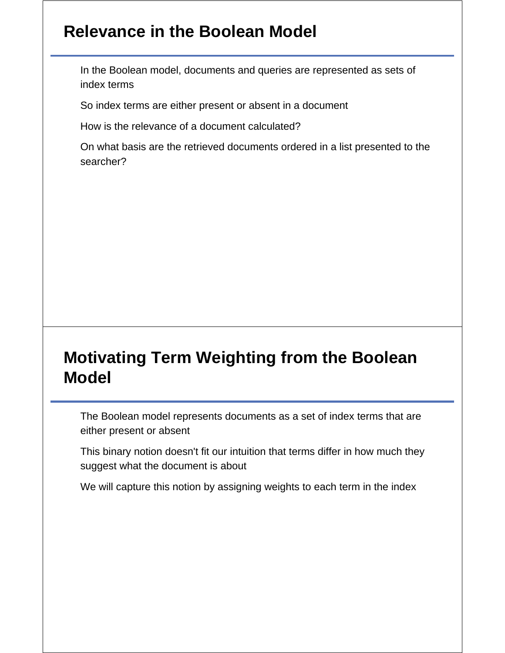### **Relevance in the Boolean Model**

In the Boolean model, documents and queries are represented as sets of index terms

So index terms are either present or absent in a document

How is the relevance of a document calculated?

On what basis are the retrieved documents ordered in a list presented to the searcher?

### **Motivating Term Weighting from the Boolean Model**

The Boolean model represents documents as a set of index terms that are either present or absent

This binary notion doesn't fit our intuition that terms differ in how much they suggest what the document is about

We will capture this notion by assigning weights to each term in the index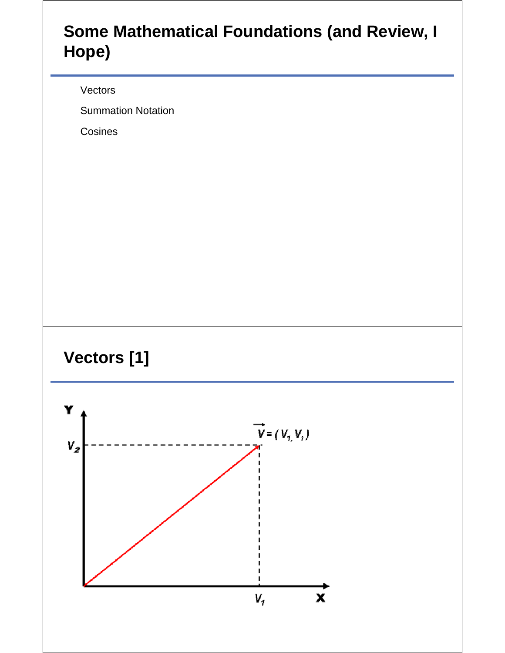## **Some Mathematical Foundations (and Review, I Hope)**

Vectors

Summation Notation

Cosines



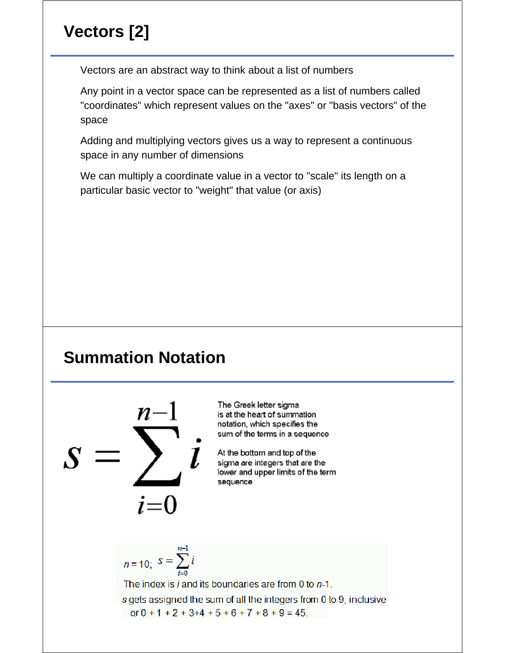## **Vectors [2]**

Vectors are an abstract way to think about a list of numbers

Any point in a vector space can be represented as a list of numbers called "coordinates" which represent values on the "axes" or "basis vectors" of the space

Adding and multiplying vectors gives us a way to represent a continuous space in any number of dimensions

We can multiply a coordinate value in a vector to "scale" its length on a particular basic vector to "weight" that value (or axis)

## **Summation Notation**



The Greek letter sigma is at the heart of summation notation, which specifies the sum of the terms in a sequence

At the bottom and top of the sigma are integers that are the lower and upper limits of the term sequence

$$
n = 10; \ \ S = \sum_{i=0}^{n-1} i
$$

The index is  $i$  and its boundaries are from 0 to  $n-1$ . s gets assigned the sum of all the integers from 0 to 9, inclusive or  $0 + 1 + 2 + 3 + 4 + 5 + 6 + 7 + 8 + 9 = 45$ .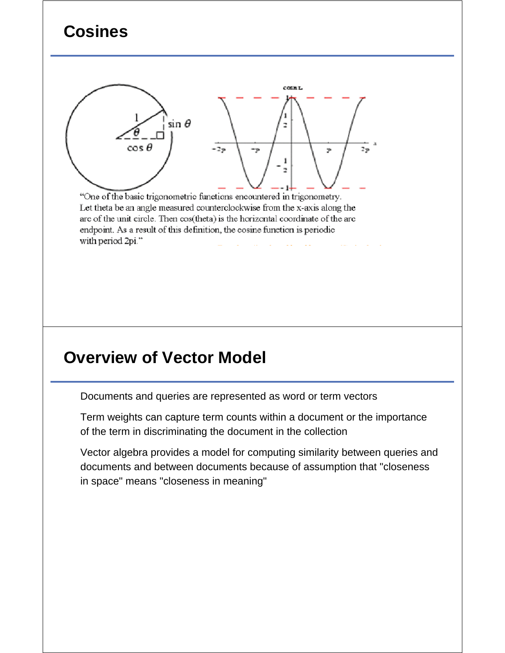## **Cosines**



"One of the basic trigonometric functions encountered in trigonometry. Let theta be an angle measured counterclockwise from the x-axis along the are of the unit circle. Then cos(theta) is the horizontal coordinate of the arc endpoint. As a result of this definition, the cosine function is periodic with period 2pi."

#### **Overview of Vector Model**

Documents and queries are represented as word or term vectors

Term weights can capture term counts within a document or the importance of the term in discriminating the document in the collection

Vector algebra provides a model for computing similarity between queries and documents and between documents because of assumption that "closeness in space" means "closeness in meaning"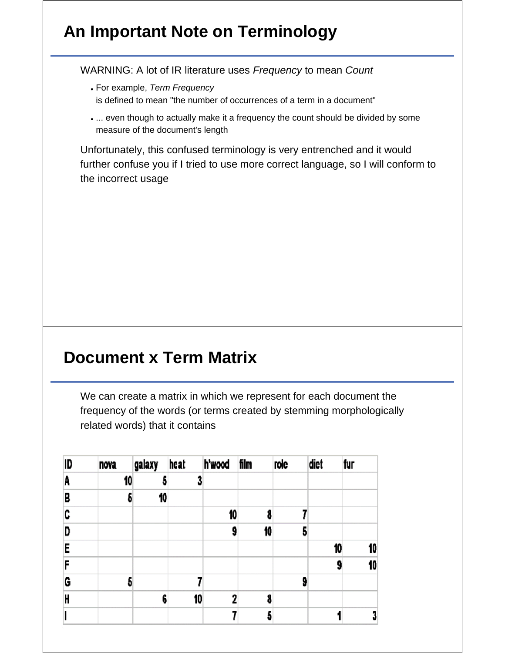## **An Important Note on Terminology**

WARNING: A lot of IR literature uses *Frequency* to mean *Count*

- For example, *Term Frequency* is defined to mean "the number of occurrences of a term in a document"
- ... even though to actually make it a frequency the count should be divided by some measure of the document's length

Unfortunately, this confused terminology is very entrenched and it would further confuse you if I tried to use more correct language, so I will conform to the incorrect usage

#### **Document x Term Matrix**

We can create a matrix in which we represent for each document the frequency of the words (or terms created by stemming morphologically related words) that it contains

| ID | nova | galaxy | heat | h'wood film |    | role | diet | fur |
|----|------|--------|------|-------------|----|------|------|-----|
| A  | 10   | a      |      |             |    |      |      |     |
| B  | 5    | 10     |      |             |    |      |      |     |
| C  |      |        |      | 10          |    |      |      |     |
| D  |      |        |      | 9           | 10 |      |      |     |
| E  |      |        |      |             |    |      | 10   | 10  |
| F  |      |        |      |             |    |      | 9    | 10  |
| G  | 5    |        |      |             |    |      |      |     |
| H  |      | 6      | 10   |             |    |      |      |     |
|    |      |        |      |             |    |      |      |     |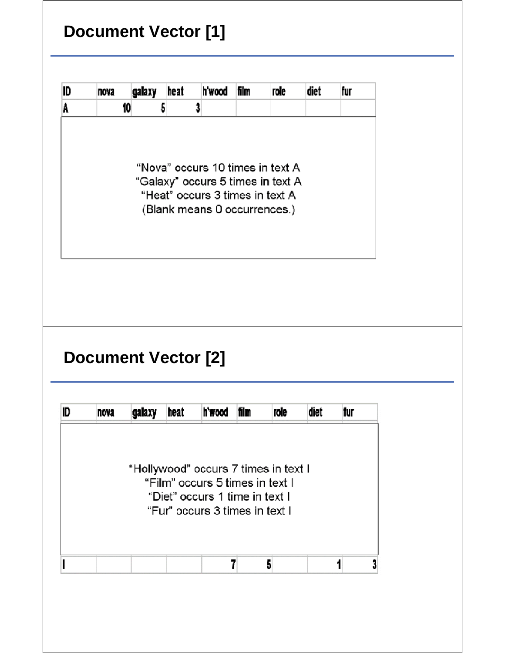# **Document Vector [1]**

| ID | nova                       | galaxy | heat | h'wood                                                                                                                                      | film | role | diet | fur |
|----|----------------------------|--------|------|---------------------------------------------------------------------------------------------------------------------------------------------|------|------|------|-----|
| A  | 10                         |        | 5    | 3                                                                                                                                           |      |      |      |     |
|    |                            |        |      | "Nova" occurs 10 times in text A<br>"Galaxy" occurs 5 times in text A<br>"Heat" occurs 3 times in text A<br>(Blank means 0 occurrences.)    |      |      |      |     |
|    |                            |        |      |                                                                                                                                             |      |      |      |     |
|    |                            |        |      |                                                                                                                                             |      |      |      |     |
|    | <b>Document Vector [2]</b> |        |      |                                                                                                                                             |      |      |      |     |
|    | nova                       | galaxy | heat | h'wood                                                                                                                                      | film | role | diet | fur |
| ID |                            |        |      | "Hollywood" occurs 7 times in text I<br>"Film" occurs 5 times in text I<br>"Diet" occurs 1 time in text I<br>"Fur" occurs 3 times in text I |      |      |      |     |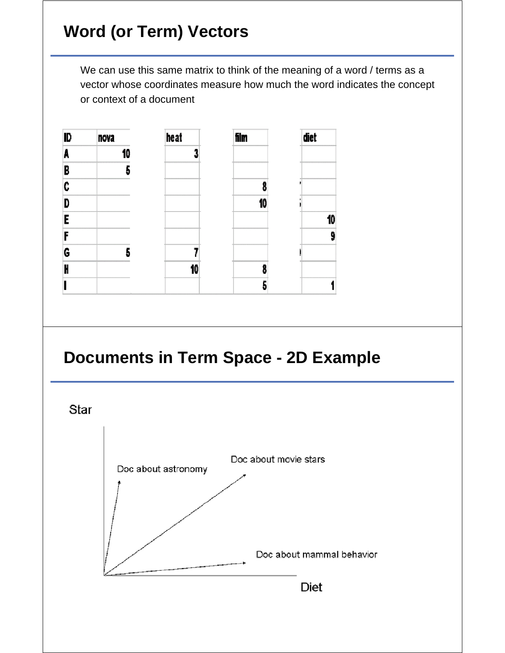# **Word (or Term) Vectors**

We can use this same matrix to think of the meaning of a word / terms as a vector whose coordinates measure how much the word indicates the concept or context of a document





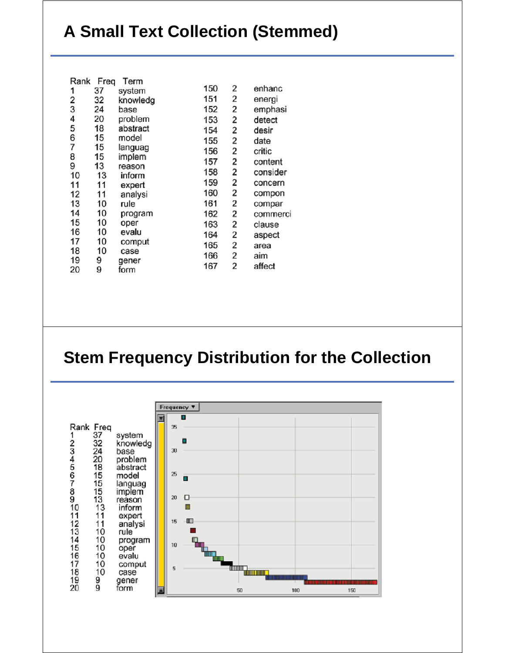# **A Small Text Collection (Stemmed)**

| Rank | Freq | Term     |     |   |          |
|------|------|----------|-----|---|----------|
| 1    | 37   | system   | 150 | 2 | enhanc   |
| 2    | 32   | knowledg | 151 | 2 | energi   |
| 3    | 24   | base     | 152 | 2 | emphasi  |
| 4    | 20   | problem  | 153 | 2 | detect   |
| 5    | 18   | abstract | 154 | 2 | desir    |
| 6    | 15   | model    | 155 | 2 | date     |
| 7    | 15   | languag  | 156 | 2 | critic   |
| 8    | 15   | implem   | 157 | 2 | content  |
| 9    | 13   | reason   | 158 | 2 | consider |
| 10   | 13   | inform   |     |   |          |
| 11   | 11   | expert   | 159 | 2 | concern  |
| 12   | 11   | analysi  | 160 | 2 | compon   |
| 13   | 10   | rule     | 161 | 2 | compar   |
| 14   | 10   | program  | 162 | 2 | commerci |
| 15   | 10   | oper     | 163 | 2 | clause   |
| 16   | 10   | evalu    | 164 | 2 | aspect   |
| 17   | 10   | comput   | 165 | 2 | area     |
| 18   | 10   | case     |     |   |          |
| 19   | 9    | gener    | 166 | 2 | aim      |
| 20   | 9    | form     | 167 | 2 | affect   |
|      |      |          |     |   |          |

#### **Stem Frequency Distribution for the Collection**

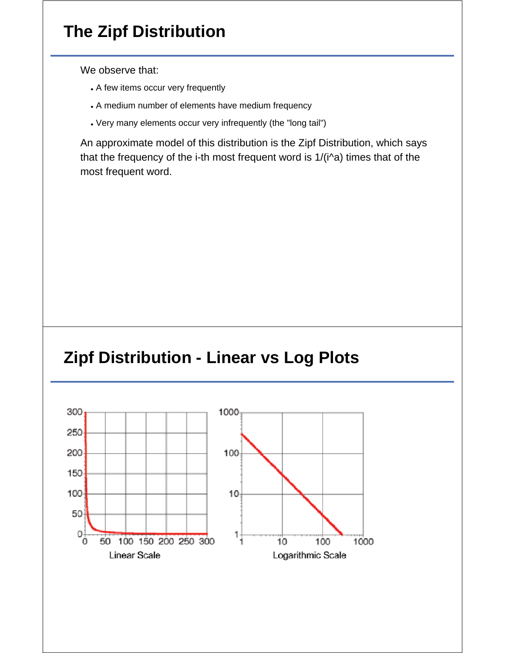# **The Zipf Distribution**

We observe that:

- A few items occur very frequently
- A medium number of elements have medium frequency
- Very many elements occur very infrequently (the "long tail")

An approximate model of this distribution is the Zipf Distribution, which says that the frequency of the i-th most frequent word is 1/(i^a) times that of the most frequent word.

#### **Zipf Distribution - Linear vs Log Plots**

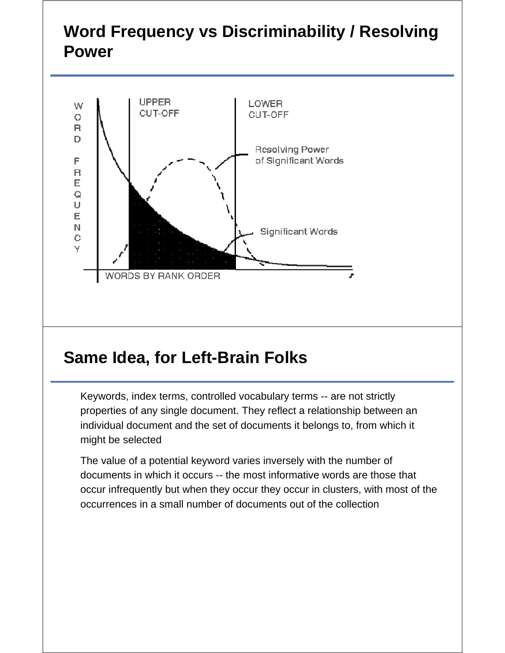## **Word Frequency vs Discriminability / Resolving Power**



#### **Same Idea, for Left-Brain Folks**

Keywords, index terms, controlled vocabulary terms -- are not strictly properties of any single document. They reflect a relationship between an individual document and the set of documents it belongs to, from which it might be selected

The value of a potential keyword varies inversely with the number of documents in which it occurs -- the most informative words are those that occur infrequently but when they occur they occur in clusters, with most of the occurrences in a small number of documents out of the collection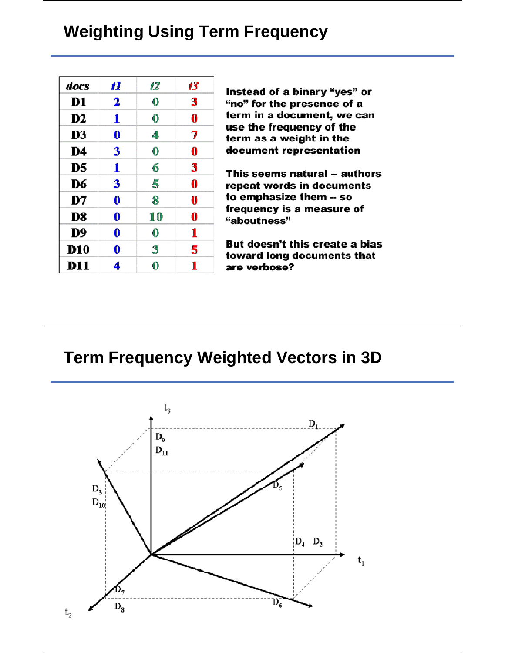### **Weighting Using Term Frequency**

| docs           | 11       | 12 | 13 |
|----------------|----------|----|----|
| D1             | 2        | 0  | 3  |
| D <sub>2</sub> | 1        | 0  | 0  |
| D3             | $\bf{0}$ | 4  | 7  |
| D4             | 3        | 0  | 0  |
| D5             | 1        | 6  | 3  |
| D6             | 3        | 5  | 0  |
| D7             | 0        | 8  | 0  |
| D8             | 0        | 10 | 0  |
| D9             | 0        | 0  | 1  |
| <b>D10</b>     | 0        | 3  | 5  |
| <b>D11</b>     | 4        | 0  | 1  |

Instead of a binary "yes" or "no" for the presence of a term in a document, we can use the frequency of the term as a weight in the document representation

This seems natural -- authors repeat words in documents to emphasize them -- so frequency is a measure of "aboutness"

But doesn't this create a bias toward long documents that are verbose?

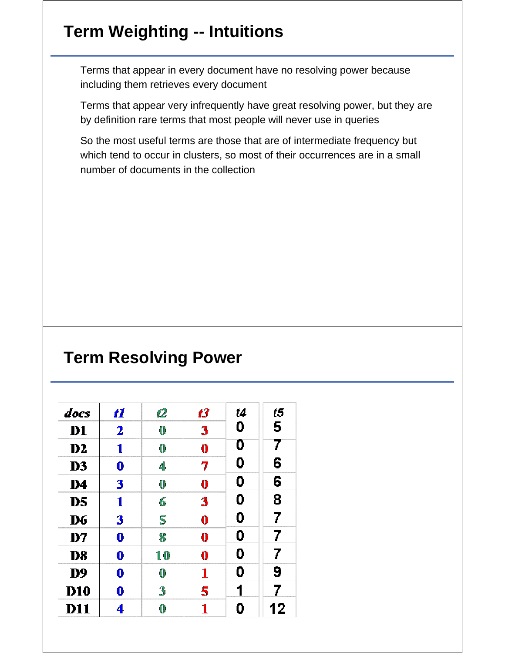## **Term Weighting -- Intuitions**

Terms that appear in every document have no resolving power because including them retrieves every document

Terms that appear very infrequently have great resolving power, but they are by definition rare terms that most people will never use in queries

So the most useful terms are those that are of intermediate frequency but which tend to occur in clusters, so most of their occurrences are in a small number of documents in the collection

#### **Term Resolving Power**

| docs           | 11       | 12 | 13       | t4 | t5 |
|----------------|----------|----|----------|----|----|
| D <sub>1</sub> | 2        | 0  | 3        | 0  | 5  |
| $\bf{D2}$      | 1        | 0  | $\bf{0}$ | 0  | 7  |
| D <sub>3</sub> | $\bf{0}$ | 4  | 7        | 0  | 6  |
| D4             | 3        | 0  | $\bf{0}$ | 0  | 6  |
| D <sub>5</sub> | 1        | 6  | 3        | 0  | 8  |
| D6             | 3        | 5  | $\bf{0}$ | 0  | 7  |
| D7             | 0        | 8  | $\bf{0}$ | 0  | 7  |
| D <sub>8</sub> | $\bf{0}$ | 10 | $\bf{0}$ | 0  | 7  |
| D <sub>9</sub> | 0        | 0  | 1        | 0  | 9  |
| <b>D10</b>     | 0        | 3  | 5        | 1  | 7  |
| <b>D11</b>     | 4        | 0  | 1        | 0  | 12 |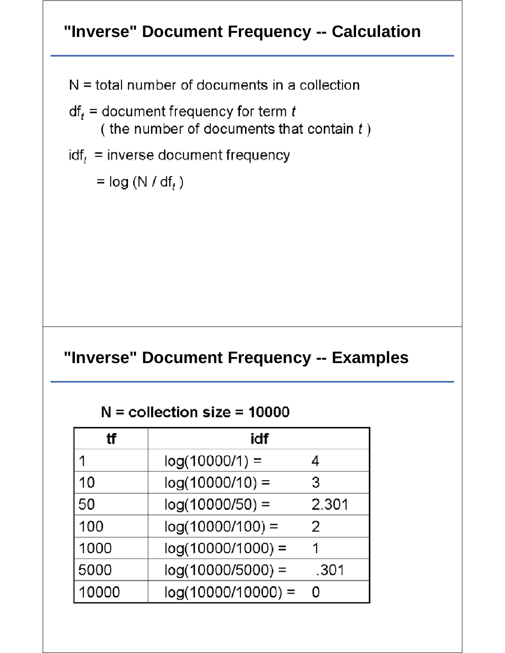## **"Inverse" Document Frequency -- Calculation**

 $N =$  total number of documents in a collection

- $df_t =$  document frequency for term t (the number of documents that contain  $t$ )
- $\mathsf{idf}_t$  = inverse document frequency

 $=$  log (N / df, )

#### **"Inverse" Document Frequency -- Examples**

 $N =$  collection size = 10000

| tf    | idf                  |       |
|-------|----------------------|-------|
| 1     | $log(10000/1) =$     |       |
| 10    | $log(10000/10) =$    | З     |
| 50    | $log(10000/50) =$    | 2.301 |
| 100   | $log(10000/100) =$   | 2     |
| 1000  | $log(10000/1000) =$  |       |
| 5000  | $log(10000/5000) =$  | .301  |
| 10000 | $log(10000/10000) =$ | Ω     |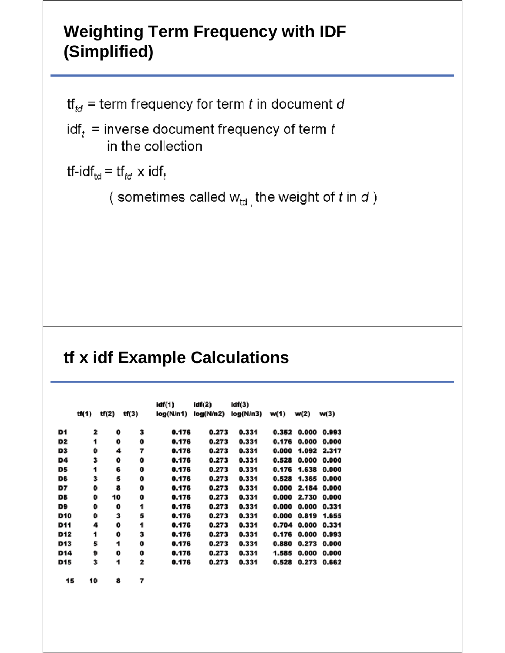## **Weighting Term Frequency with IDF (Simplified)**

 $\mathsf{tf}_{td}$  = term frequency for term t in document d

 $\text{idf}_t$  = inverse document frequency of term t in the collection

```
tf-idf<sub>td</sub> = tf<sub>td</sub> \times idf<sub>t</sub>
```
(sometimes called  $w_{td}$ , the weight of t in d)

### **tf x idf Example Calculations**

|                |       |       | idf(1) | idif(2)   | idf(3)    |           |       |       |       |
|----------------|-------|-------|--------|-----------|-----------|-----------|-------|-------|-------|
|                | tf(1) | tf(2) | tf(3)  | log(N/n1) | log(N/n2) | log(N/n3) | w(1)  | w(2)  | w(3)  |
| D1             | 2     | Ō     | 3      | 0.176     | 0.273     | 0.331     | 0.352 | 0.000 | 0.993 |
| D <sub>2</sub> | 1     | 0     | 0      | 0.176     | 0.273     | 0.331     | 0.176 | 0.000 | 0.000 |
| D3             | 0     | 4     | 7      | 0.176     | 0.273     | 0.331     | 0.000 | 1.092 | 2.317 |
| D4             | 3     | ۰     | o      | 0.176     | 0.273     | 0.331     | 0.528 | 0.000 | 0.000 |
| D5             | 1     | 6     | o      | 0.176     | 0.273     | 0.331     | 0.176 | 1.638 | 0.000 |
| D6             | 3     | 5     | 0      | 0.176     | 0.273     | 0.331     | 0.528 | 1.365 | 0.000 |
| D7             | o     | 8     | 0      | 0.176     | 0.273     | 0.331     | 0.000 | 2.184 | 0.000 |
| D8             | 0     | 10    | o      | 0.176     | 0.273     | 0.331     | 0.000 | 2.730 | 0.000 |
| D9             | 0     | 0     | 1      | 0.176     | 0.273     | 0.331     | 0.000 | 0.000 | 0.331 |
| D10            | Ō     | 3     | 5      | 0.176     | 0.273     | 0.331     | 0.000 | 0.819 | 1.655 |
| D11            | 4     | ٥     | 1      | 0.176     | 0.273     | 0.331     | 0.704 | 0.000 | 0.331 |
| D12            | 1     | 0     | 3      | 0.176     | 0.273     | 0.331     | 0.176 | 0.000 | 0.993 |
| D13            | 5     | 1     | o      | 0.176     | 0.273     | 0.331     | 0.880 | 0.273 | 0.000 |
| D14            | 9     | o     | o      | 0.176     | 0.273     | 0.331     | 1.585 | 0.000 | 0.000 |
| D15            | 3     | 1     | 2      | 0.176     | 0.273     | 0.331     | 0.528 | 0.273 | 0.662 |
| 15             | 10    | 8     | 7      |           |           |           |       |       |       |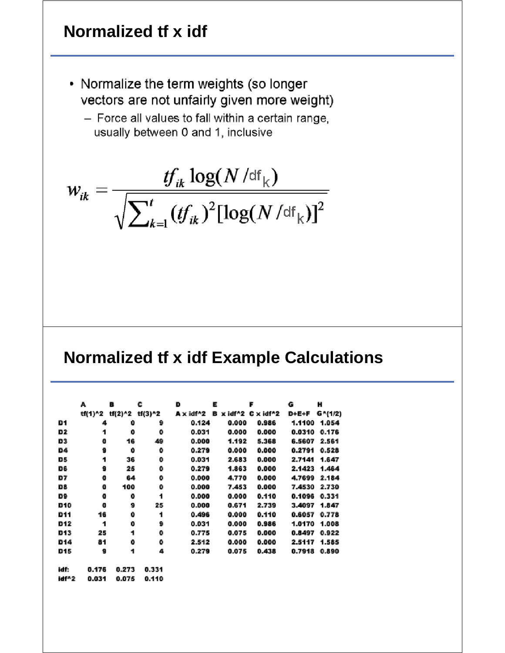## **Normalized tf x idf**

- Normalize the term weights (so longer vectors are not unfairly given more weight)
	- Force all values to fall within a certain range. usually between 0 and 1, inclusive

$$
w_{ik} = \frac{tf_{ik} \log(N/\text{df}_k)}{\sqrt{\sum_{k=1}^{t} (tf_{ik})^2 [\log(N/\text{df}_k)]^2}}
$$

#### **Normalized tf x idf Example Calculations**

|       | А       | в       | c       | D         | Е |         | F            | G            | н       |
|-------|---------|---------|---------|-----------|---|---------|--------------|--------------|---------|
|       | tf(1)^2 | tf(2)^2 | tf(3)^2 | A x idf^2 | в | x idf^2 | x idf^2<br>c | <b>D+E+F</b> | G^(1/2) |
| D1    | 4       | 0       | 9       | 0.124     |   | 0.000   | 0.986        | 1.1100       | 1.054   |
| D2    | 1       | 0       | 0       | 0.031     |   | 0.000   | 0.000        | 0.0310       | 0.176   |
| D3    | o       | 16      | 49      | 0.000     |   | 1.192   | 5.368        | 6.5607       | 2.561   |
| D4    | 9       | 0       | 0       | 0.279     |   | 0.000   | 0.000        | 0.2791       | 0.528   |
| D5    | 1       | 36      | 0       | 0.031     |   | 2.683   | 0.000        | 2.7141       | 1.647   |
| D6    | 9       | 25      | 0       | 0.279     |   | 1.863   | 0.000        | 2.1423       | 1.464   |
| D7    | o       | 64      | 0       | 0.000     |   | 4,770   | 0.000        | 4.7699       | 2.184   |
| D8    | o       | 100     | ۰       | 0.000     |   | 7.453   | 0.000        | 7.4530       | 2.730   |
| D9    | o       | 0       | 1       | 0.000     |   | 0.000   | 0.110        | 0.1096       | 0.331   |
| D10   | o       | 9       | 25      | 0.000     |   | 0.671   | 2.739        | 3.4097       | 1.847   |
| D11   | 16      | 0       | 1       | 0.496     |   | 0.000   | 0.110        | 0.6057       | 0.778   |
| D12   | 1       | 0       | 9       | 0.031     |   | 0.000   | 0.986        | 1.0170       | 1.008   |
| D13   | 25      | 1       | 0       | 0.775     |   | 0.075   | 0.000        | 0.8497       | 0.922   |
| D14   | 81      | o       | ۰       | 2.512     |   | 0.000   | 0.000        | 2.5117       | 1.585   |
| D15   | 9       | 1       | 4       | 0.279     |   | 0.075   | 0.438        | 0.7918       | 0.890   |
| idf:  | 0.176   | 0.273   | 0.331   |           |   |         |              |              |         |
| idf^2 | 0.031   | 0.075   | 0.110   |           |   |         |              |              |         |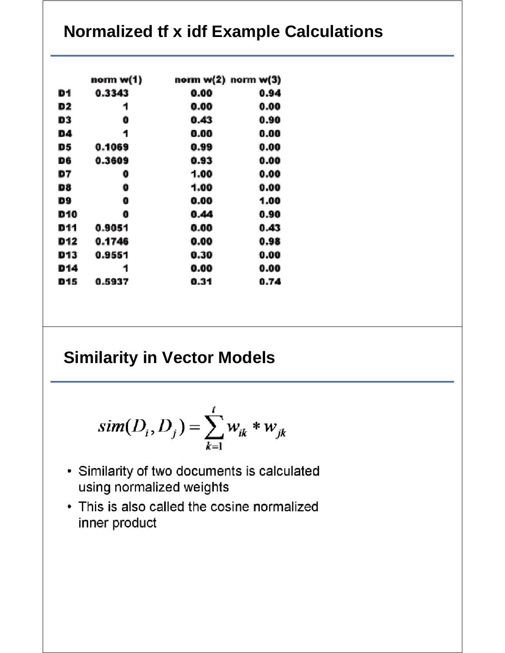## **Normalized tf x idf Example Calculations**

|     | norm w(1) | norm w(2)  norm w(3) |      |
|-----|-----------|----------------------|------|
| D1  | 0.3343    | 0.00                 | 0.94 |
| D2  | 1         | 0.00                 | 0.00 |
| D3  | O         | 0.43                 | 0.90 |
| D4  | 1         | 0.00                 | 0.00 |
| D5  | 0.1069    | 0.99                 | 0.00 |
| D6  | 0.3609    | 0.93                 | 0.00 |
| D7  | 0         | 1.00                 | 0.00 |
| D8  | 0         | 1.00                 | 0.00 |
| D9  | 0         | 0.00                 | 1.00 |
| D10 | 0         | 0.44                 | 0.90 |
| D11 | 0.9051    | 0.00                 | 0.43 |
| D12 | 0.1746    | 0.00                 | 0.98 |
| D13 | 0.9551    | 0.30                 | 0.00 |
| D14 | 1         | 0.00                 | 0.00 |
| D15 | 0.5937    | 0.31                 | 0.74 |

#### **Similarity in Vector Models**

$$
sim(D_i, D_j) = \sum_{k=1}^t w_{ik} * w_{jk}
$$

- Similarity of two documents is calculated using normalized weights
- This is also called the cosine normalized inner product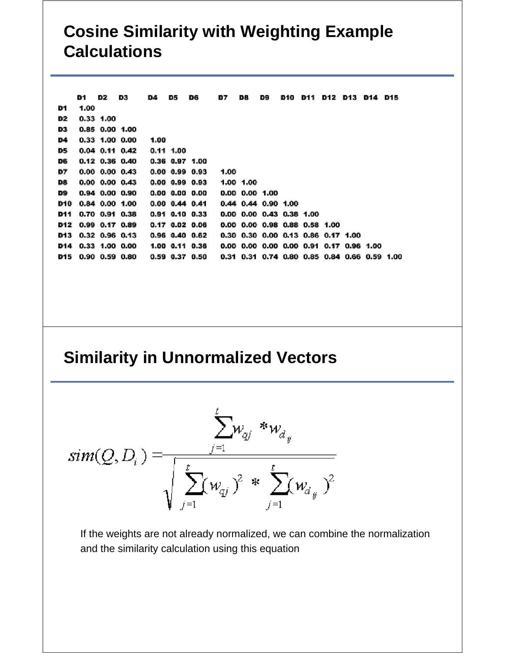### **Cosine Similarity with Weighting Example Calculations**

|     | D1.                | D2.       | D3                   | D4   | D5                   | D6                   | D7   | D8.                                          | D9 | D10 | D11 | D12 D13 | D14 D15 |  |
|-----|--------------------|-----------|----------------------|------|----------------------|----------------------|------|----------------------------------------------|----|-----|-----|---------|---------|--|
| D1  | 1.00               |           |                      |      |                      |                      |      |                                              |    |     |     |         |         |  |
| D2  |                    | 0.33 1.00 |                      |      |                      |                      |      |                                              |    |     |     |         |         |  |
| D3  |                    |           | 0.85 0.00 1.00       |      |                      |                      |      |                                              |    |     |     |         |         |  |
| D4  |                    |           | $0.33$ 1.00 0.00     | 1.00 |                      |                      |      |                                              |    |     |     |         |         |  |
| D5  |                    |           | $0.04$ 0.11 0.42     |      | $0.11$ 1.00          |                      |      |                                              |    |     |     |         |         |  |
| D6  |                    |           | $0.12$ 0.36 0.40     |      |                      | $0.36$ 0.97 1.00     |      |                                              |    |     |     |         |         |  |
| D7  |                    |           | $0.00$ $0.00$ $0.43$ |      |                      | $0.00$ $0.99$ $0.93$ | 1.00 |                                              |    |     |     |         |         |  |
| D8. |                    |           | $0.00$ $0.00$ $0.43$ |      |                      | $0.00$ $0.99$ $0.93$ |      | 1.00 1.00                                    |    |     |     |         |         |  |
| D9  |                    |           | $0.94$ $0.00$ $0.90$ |      |                      | $0.00$ $0.00$ $0.00$ |      | $0.00$ $0.00$ $1.00$                         |    |     |     |         |         |  |
| D10 |                    |           | $0.84$ $0.00$ $1.00$ |      | $0.00$ $0.44$ $0.41$ |                      |      | $0.44$ $0.44$ $0.90$ 1.00                    |    |     |     |         |         |  |
| D11 |                    |           | $0.70$ $0.91$ $0.38$ |      |                      | $0.91$ $0.10$ $0.33$ |      | $0.00$ $0.00$ $0.43$ $0.38$ $1.00$           |    |     |     |         |         |  |
|     |                    |           | D12 0.99 0.17 0.89   |      |                      | $0.17$ $0.02$ $0.06$ |      | 0.00 0.00 0.98 0.88 0.58 1.00                |    |     |     |         |         |  |
|     |                    |           | D13 0.32 0.96 0.13   |      |                      | $0.96$ $0.40$ $0.62$ |      | 0.30 0.30 0.00 0.13 0.86 0.17 1.00           |    |     |     |         |         |  |
|     |                    |           | D14 0.33 1.00 0.00   |      |                      | 1.00 0.11 0.36       |      | 0.00 0.00 0.00 0.00 0.91 0.17 0.96 1.00      |    |     |     |         |         |  |
|     | D15 0.90 0.59 0.80 |           |                      |      |                      | 0.59 0.37 0.50       |      | 0.31 0.31 0.74 0.80 0.85 0.84 0.66 0.59 1.00 |    |     |     |         |         |  |
|     |                    |           |                      |      |                      |                      |      |                                              |    |     |     |         |         |  |

#### **Similarity in Unnormalized Vectors**



If the weights are not already normalized, we can combine the normalization and the similarity calculation using this equation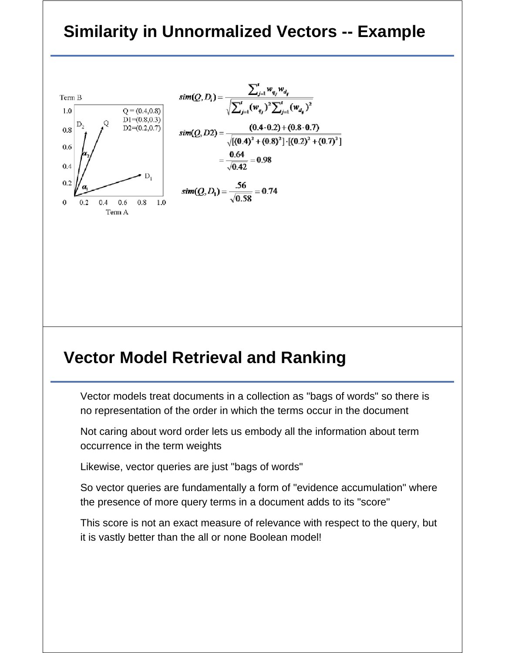#### **Similarity in Unnormalized Vectors -- Example**



#### **Vector Model Retrieval and Ranking**

Vector models treat documents in a collection as "bags of words" so there is no representation of the order in which the terms occur in the document

Not caring about word order lets us embody all the information about term occurrence in the term weights

Likewise, vector queries are just "bags of words"

So vector queries are fundamentally a form of "evidence accumulation" where the presence of more query terms in a document adds to its "score"

This score is not an exact measure of relevance with respect to the query, but it is vastly better than the all or none Boolean model!